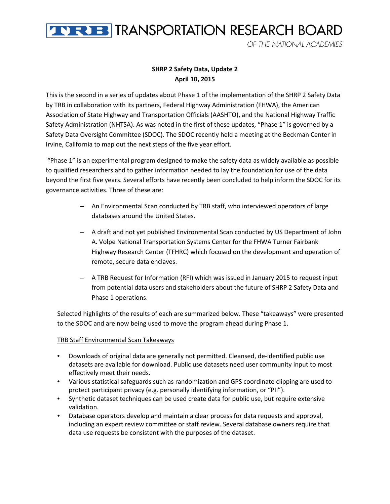

OF THE NATIONAL ACADEMIES

## **SHRP 2 Safety Data, Update 2 April 10, 2015**

This is the second in a series of updates about Phase 1 of the implementation of the SHRP 2 Safety Data by TRB in collaboration with its partners, Federal Highway Administration (FHWA), the American Association of State Highway and Transportation Officials (AASHTO), and the National Highway Traffic Safety Administration (NHTSA). As was noted in the first of these updates, "Phase 1" is governed by a Safety Data Oversight Committee (SDOC). The SDOC recently held a meeting at the Beckman Center in Irvine, California to map out the next steps of the five year effort.

"Phase 1" is an experimental program designed to make the safety data as widely available as possible to qualified researchers and to gather information needed to lay the foundation for use of the data beyond the first five years. Several efforts have recently been concluded to help inform the SDOC for its governance activities. Three of these are:

- An Environmental Scan conducted by TRB staff, who interviewed operators of large databases around the United States.
- A draft and not yet published Environmental Scan conducted by US Department of John A. Volpe National Transportation Systems Center for the FHWA Turner Fairbank Highway Research Center (TFHRC) which focused on the development and operation of remote, secure data enclaves.
- A TRB Request for Information (RFI) which was issued in January 2015 to request input from potential data users and stakeholders about the future of SHRP 2 Safety Data and Phase 1 operations.

Selected highlights of the results of each are summarized below. These "takeaways" were presented to the SDOC and are now being used to move the program ahead during Phase 1.

## TRB Staff Environmental Scan Takeaways

- Downloads of original data are generally not permitted. Cleansed, de-identified public use datasets are available for download. Public use datasets need user community input to most effectively meet their needs.
- Various statistical safeguards such as randomization and GPS coordinate clipping are used to protect participant privacy (e.g. personally identifying information, or "PII").
- Synthetic dataset techniques can be used create data for public use, but require extensive validation.
- Database operators develop and maintain a clear process for data requests and approval, including an expert review committee or staff review. Several database owners require that data use requests be consistent with the purposes of the dataset.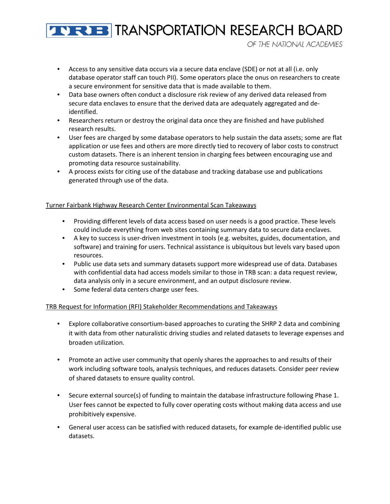# **THE BIRANSPORTATION RESEARCH BOARD**

OF THE NATIONAL ACADEMIES

- Access to any sensitive data occurs via a secure data enclave (SDE) or not at all (i.e. only database operator staff can touch PII). Some operators place the onus on researchers to create a secure environment for sensitive data that is made available to them.
- Data base owners often conduct a disclosure risk review of any derived data released from secure data enclaves to ensure that the derived data are adequately aggregated and deidentified.
- Researchers return or destroy the original data once they are finished and have published research results.
- User fees are charged by some database operators to help sustain the data assets; some are flat application or use fees and others are more directly tied to recovery of labor costs to construct custom datasets. There is an inherent tension in charging fees between encouraging use and promoting data resource sustainability.
- A process exists for citing use of the database and tracking database use and publications generated through use of the data.

## Turner Fairbank Highway Research Center Environmental Scan Takeaways

- Providing different levels of data access based on user needs is a good practice. These levels could include everything from web sites containing summary data to secure data enclaves.
- A key to success is user-driven investment in tools (e.g. websites, guides, documentation, and software) and training for users. Technical assistance is ubiquitous but levels vary based upon resources.
- Public use data sets and summary datasets support more widespread use of data. Databases with confidential data had access models similar to those in TRB scan: a data request review, data analysis only in a secure environment, and an output disclosure review.
- Some federal data centers charge user fees.

## TRB Request for Information (RFI) Stakeholder Recommendations and Takeaways

- Explore collaborative consortium-based approaches to curating the SHRP 2 data and combining it with data from other naturalistic driving studies and related datasets to leverage expenses and broaden utilization.
- Promote an active user community that openly shares the approaches to and results of their work including software tools, analysis techniques, and reduces datasets. Consider peer review of shared datasets to ensure quality control.
- Secure external source(s) of funding to maintain the database infrastructure following Phase 1. User fees cannot be expected to fully cover operating costs without making data access and use prohibitively expensive.
- General user access can be satisfied with reduced datasets, for example de-identified public use datasets.